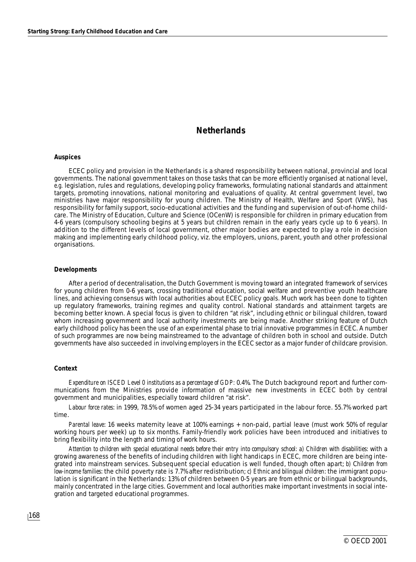# **Netherlands**

#### **Auspices**

ECEC policy and provision in the Netherlands is a shared responsibility between national, provincial and local governments. The national government takes on those tasks that can be more efficiently organised at national level, *e.g.* legislation, rules and regulations, developing policy frameworks, formulating national standards and attainment targets, promoting innovations, national monitoring and evaluations of quality. At central government level, two ministries have major responsibility for young children. The Ministry of Health, Welfare and Sport (VWS), has responsibility for family support, socio-educational activities and the funding and supervision of out-of-home childcare. The Ministry of Education, Culture and Science (OCenW) is responsible for children in primary education from 4-6 years (compulsory schooling begins at 5 years but children remain in the early years cycle up to 6 years). In addition to the different levels of local government, other major bodies are expected to play a role in decision making and implementing early childhood policy, viz. the employers, unions, parent, youth and other professional organisations.

#### **Developments**

After a period of decentralisation, the Dutch Government is moving toward an integrated framework of services for young children from 0-6 years, crossing traditional education, social welfare and preventive youth healthcare lines, and achieving consensus with local authorities about ECEC policy goals. Much work has been done to tighten up regulatory frameworks, training regimes and quality control. National standards and attainment targets are becoming better known. A special focus is given to children "at risk", including ethnic or bilingual children, toward whom increasing government and local authority investments are being made. Another striking feature of Dutch early childhood policy has been the use of an experimental phase to trial innovative programmes in ECEC. A number of such programmes are now being mainstreamed to the advantage of children both in school and outside. Dutch governments have also succeeded in involving employers in the ECEC sector as a major funder of childcare provision.

#### **Context**

*Expenditure on ISCED Level 0 institutions as a percentage of GDP:* 0.4%. The Dutch background report and further communications from the Ministries provide information of massive new investments in ECEC both by central government and municipalities, especially toward children "at risk".

*Labour force rates*: in 1999, 78.5% of women aged 25-34 years participated in the labour force. 55.7% worked part time.

*Parental leave*: 16 weeks maternity leave at 100% earnings + non-paid, partial leave (must work 50% of regular working hours per week) up to six months. Family-friendly work policies have been introduced and initiatives to bring flexibility into the length and timing of work hours.

*Attention to children with special educational needs before their entry into compulsory school: a) Children with disabilities*: with a growing awareness of the benefits of including children with light handicaps in ECEC, more children are being integrated into mainstream services. Subsequent special education is well funded, though often apart; *b)* C*hildren from low-income families*: the child poverty rate is 7.7% after redistribution; *c) Ethnic and bilingual children*: the immigrant population is significant in the Netherlands: 13% of children between 0-5 years are from ethnic or bilingual backgrounds, mainly concentrated in the large cities. Government and local authorities make important investments in social integration and targeted educational programmes.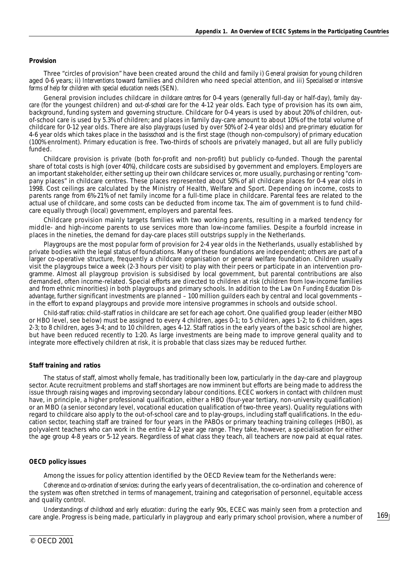### **Provision**

Three "circles of provision" have been created around the child and family i) *General provision* for young children aged 0-6 years; ii) *Interventions* toward families and children who need special attention, and iii) S*pecialised or intensive forms of help for children with special education needs* (SEN).

General provision includes childcare in *childcare centres* for 0-4 years (generally full-day or half-day), *family daycare* (for the youngest children) and *out-of-school care* for the 4-12 year olds. Each type of provision has its own aim, background, funding system and governing structure. Childcare for 0-4 years is used by about 20% of children, outof-school care is used by 5.3% of children; and places in family day-care amount to about 10% of the total volume of childcare for 0-12 year olds. There are also *playgroups* (used by over 50% of 2-4 year olds) and *pre-primary education* for 4-6 year olds which takes place in the *basisschool* and is the first stage (though non-compulsory) of primary education (100% enrolment). Primary education is free. Two-thirds of schools are privately managed, but all are fully publicly funded.

Childcare provision is private (both for-profit and non-profit) but publicly co-funded. Though the parental share of total costs is high (over 40%), childcare costs are subsidised by government and employers. Employers are an important stakeholder, either setting up their own childcare services or, more usually, purchasing or renting "company places" in childcare centres. These places represented about 50% of all childcare places for 0-4 year olds in 1998. Cost ceilings are calculated by the Ministry of Health, Welfare and Sport. Depending on income, costs to parents range from 6%-21% of net family income for a full-time place in childcare. Parental fees are related to the actual use of childcare, and some costs can be deducted from income tax. The aim of government is to fund childcare equally through (local) government, employers and parental fees.

Childcare provision mainly targets families with two working parents, resulting in a marked tendency for middle- and high-income parents to use services more than low-income families. Despite a fourfold increase in places in the nineties, the demand for day-care places still outstrips supply in the Netherlands.

Playgroups are the most popular form of provision for 2-4 year olds in the Netherlands, usually established by private bodies with the legal status of foundations. Many of these foundations are independent; others are part of a larger co-operative structure, frequently a childcare organisation or general welfare foundation. Children usually visit the playgroups twice a week (2-3 hours per visit) to play with their peers or participate in an intervention programme. Almost all playgroup provision is subsidised by local government, but parental contributions are also demanded, often income-related. Special efforts are directed to children at risk (children from low-income families and from ethnic minorities) in both playgroups and primary schools. In addition to the *Law On Funding Education Disadvantage*, further significant investments are planned – 100 million guilders each by central and local governments – in the effort to expand playgroups and provide more intensive programmes in schools and outside school.

*Child-staff ratios*: child-staff ratios in childcare are set for each age cohort. One qualified group leader (either MBO or HBO level, see below) must be assigned to every 4 children, ages 0-1; to 5 children, ages 1-2; to 6 children, ages 2-3; to 8 children, ages 3-4; and to 10 children, ages 4-12. Staff ratios in the early years of the basic school are higher, but have been reduced recently to 1:20. As large investments are being made to improve general quality and to integrate more effectively children at risk, it is probable that class sizes may be reduced further.

## **Staff training and ratios**

The status of staff, almost wholly female, has traditionally been low, particularly in the day-care and playgroup sector. Acute recruitment problems and staff shortages are now imminent but efforts are being made to address the issue through raising wages and improving secondary labour conditions. ECEC workers in contact with children must have, in principle, a higher professional qualification, either a HBO (four-year tertiary, non-university qualification) or an MBO (a senior secondary level, vocational education qualification of two-three years). Quality regulations with regard to childcare also apply to the out-of-school care and to play-groups, including staff qualifications. In the education sector, teaching staff are trained for four years in the PABOs or primary teaching training colleges (HBO), as polyvalent teachers who can work in the entire 4-12 year age range. They take, however, a specialisation for either the age group 4-8 years or 5-12 years. Regardless of what class they teach, all teachers are now paid at equal rates.

#### **OECD policy issues**

Among the issues for policy attention identified by the OECD Review team for the Netherlands were:

*Coherence and co-ordination of services*: during the early years of decentralisation, the co-ordination and coherence of the system was often stretched in terms of management, training and categorisation of personnel, equitable access and quality control.

*Understandings of childhood and early education*: during the early 90s, ECEC was mainly seen from a protection and care angle. Progress is being made, particularly in playgroup and early primary school provision, where a number of